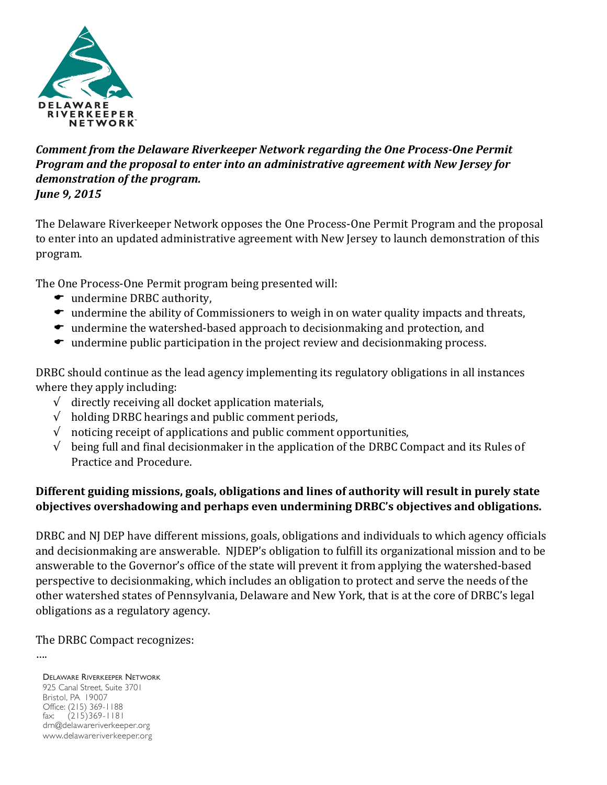

# **Comment from the Delaware Riverkeeper Network regarding the One Process-One Permit** *Program and the proposal to enter into an administrative agreement with New Jersey for* demonstration of the program. *June 9, 2015*

The Delaware Riverkeeper Network opposes the One Process-One Permit Program and the proposal to enter into an updated administrative agreement with New Jersey to launch demonstration of this program.

The One Process-One Permit program being presented will:

- $\bullet$  undermine DRBC authority,
- $\bullet$  undermine the ability of Commissioners to weigh in on water quality impacts and threats,
- $\bullet$  undermine the watershed-based approach to decisionmaking and protection, and
- $\bullet$  undermine public participation in the project review and decisionmaking process.

DRBC should continue as the lead agency implementing its regulatory obligations in all instances where they apply including:

- $\sqrt{\phantom{a}}$  directly receiving all docket application materials,
- $\sqrt{\phantom{a}}$  holding DRBC hearings and public comment periods,
- $\sqrt{\phantom{a}}$  noticing receipt of applications and public comment opportunities,
- $\sqrt{\phantom{a}}$  being full and final decisionmaker in the application of the DRBC Compact and its Rules of Practice and Procedure.

## Different guiding missions, goals, obligations and lines of authority will result in purely state **objectives overshadowing and perhaps even undermining DRBC's objectives and obligations.**

DRBC and NJ DEP have different missions, goals, obligations and individuals to which agency officials and decisionmaking are answerable. NJDEP's obligation to fulfill its organizational mission and to be answerable to the Governor's office of the state will prevent it from applying the watershed-based perspective to decisionmaking, which includes an obligation to protect and serve the needs of the other watershed states of Pennsylvania, Delaware and New York, that is at the core of DRBC's legal obligations as a regulatory agency.

The DRBC Compact recognizes:

….

DELAWARE RIVERKEEPER NETWORK 925 Canal Street, Suite 3701 Bristol, PA 19007 Office: (215) 369-1188 fax: (215)369-1181 drn@delawareriverkeeper.org www.delawareriverkeeper.org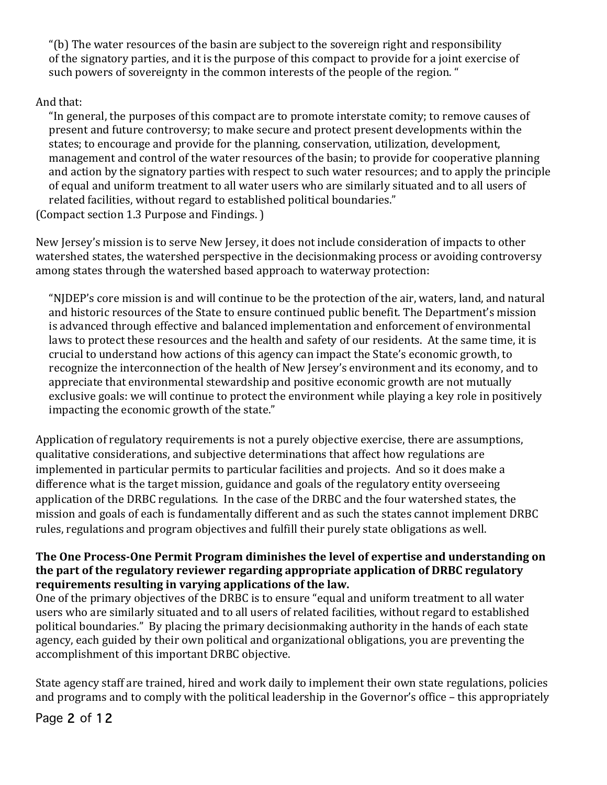"(b) The water resources of the basin are subject to the sovereign right and responsibility of the signatory parties, and it is the purpose of this compact to provide for a joint exercise of such powers of sovereignty in the common interests of the people of the region. "

# And that:

"In general, the purposes of this compact are to promote interstate comity; to remove causes of present and future controversy; to make secure and protect present developments within the states; to encourage and provide for the planning, conservation, utilization, development, management and control of the water resources of the basin; to provide for cooperative planning and action by the signatory parties with respect to such water resources; and to apply the principle of equal and uniform treatment to all water users who are similarly situated and to all users of related facilities, without regard to established political boundaries."

(Compact section 1.3 Purpose and Findings.)

New Jersey's mission is to serve New Jersey, it does not include consideration of impacts to other watershed states, the watershed perspective in the decisionmaking process or avoiding controversy among states through the watershed based approach to waterway protection:

"NIDEP's core mission is and will continue to be the protection of the air, waters, land, and natural and historic resources of the State to ensure continued public benefit. The Department's mission is advanced through effective and balanced implementation and enforcement of environmental laws to protect these resources and the health and safety of our residents. At the same time, it is crucial to understand how actions of this agency can impact the State's economic growth, to recognize the interconnection of the health of New Jersey's environment and its economy, and to appreciate that environmental stewardship and positive economic growth are not mutually exclusive goals: we will continue to protect the environment while playing a key role in positively impacting the economic growth of the state."

Application of regulatory requirements is not a purely objective exercise, there are assumptions, qualitative considerations, and subjective determinations that affect how regulations are implemented in particular permits to particular facilities and projects. And so it does make a difference what is the target mission, guidance and goals of the regulatory entity overseeing application of the DRBC regulations. In the case of the DRBC and the four watershed states, the mission and goals of each is fundamentally different and as such the states cannot implement DRBC rules, regulations and program objectives and fulfill their purely state obligations as well.

## The One Process-One Permit Program diminishes the level of expertise and understanding on the part of the regulatory reviewer regarding appropriate application of DRBC regulatory **requirements resulting in varying applications of the law.**

One of the primary objectives of the DRBC is to ensure "equal and uniform treatment to all water users who are similarly situated and to all users of related facilities, without regard to established political boundaries." By placing the primary decisionmaking authority in the hands of each state agency, each guided by their own political and organizational obligations, you are preventing the accomplishment of this important DRBC objective.

State agency staff are trained, hired and work daily to implement their own state regulations, policies and programs and to comply with the political leadership in the Governor's office – this appropriately

# Page 2 of 12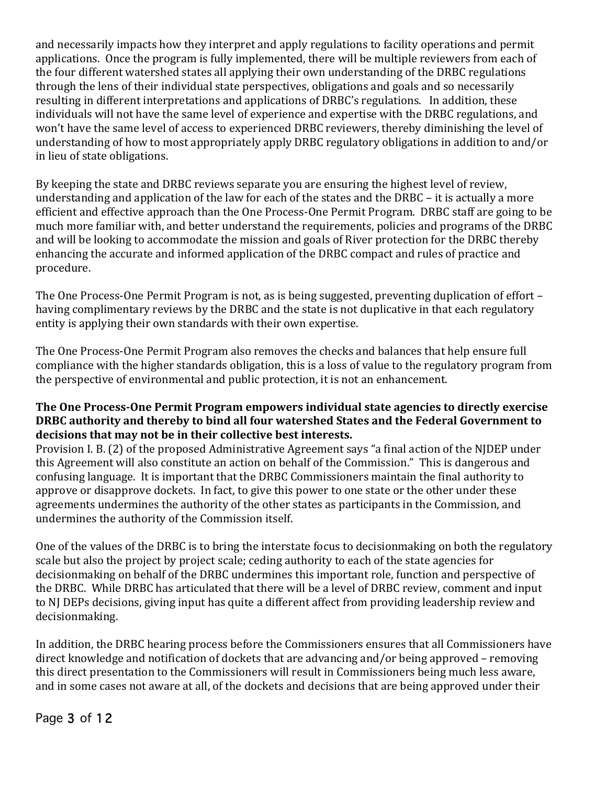and necessarily impacts how they interpret and apply regulations to facility operations and permit applications. Once the program is fully implemented, there will be multiple reviewers from each of the four different watershed states all applying their own understanding of the DRBC regulations through the lens of their individual state perspectives, obligations and goals and so necessarily resulting in different interpretations and applications of DRBC's regulations. In addition, these individuals will not have the same level of experience and expertise with the DRBC regulations, and won't have the same level of access to experienced DRBC reviewers, thereby diminishing the level of understanding of how to most appropriately apply DRBC regulatory obligations in addition to and/or in lieu of state obligations.

By keeping the state and DRBC reviews separate you are ensuring the highest level of review, understanding and application of the law for each of the states and the DRBC – it is actually a more efficient and effective approach than the One Process-One Permit Program. DRBC staff are going to be much more familiar with, and better understand the requirements, policies and programs of the DRBC and will be looking to accommodate the mission and goals of River protection for the DRBC thereby enhancing the accurate and informed application of the DRBC compact and rules of practice and procedure. 

The One Process-One Permit Program is not, as is being suggested, preventing duplication of effort – having complimentary reviews by the DRBC and the state is not duplicative in that each regulatory entity is applying their own standards with their own expertise.

The One Process-One Permit Program also removes the checks and balances that help ensure full compliance with the higher standards obligation, this is a loss of value to the regulatory program from the perspective of environmental and public protection, it is not an enhancement.

### **The One Process-One Permit Program empowers individual state agencies to directly exercise DRBC** authority and thereby to bind all four watershed States and the Federal Government to decisions that may not be in their collective best interests.

Provision I. B. (2) of the proposed Administrative Agreement says "a final action of the NIDEP under this Agreement will also constitute an action on behalf of the Commission." This is dangerous and confusing language. It is important that the DRBC Commissioners maintain the final authority to approve or disapprove dockets. In fact, to give this power to one state or the other under these agreements undermines the authority of the other states as participants in the Commission, and undermines the authority of the Commission itself.

One of the values of the DRBC is to bring the interstate focus to decisionmaking on both the regulatory scale but also the project by project scale; ceding authority to each of the state agencies for decisionmaking on behalf of the DRBC undermines this important role, function and perspective of the DRBC. While DRBC has articulated that there will be a level of DRBC review, comment and input to NJ DEPs decisions, giving input has quite a different affect from providing leadership review and decisionmaking.

In addition, the DRBC hearing process before the Commissioners ensures that all Commissioners have direct knowledge and notification of dockets that are advancing and/or being approved – removing this direct presentation to the Commissioners will result in Commissioners being much less aware, and in some cases not aware at all, of the dockets and decisions that are being approved under their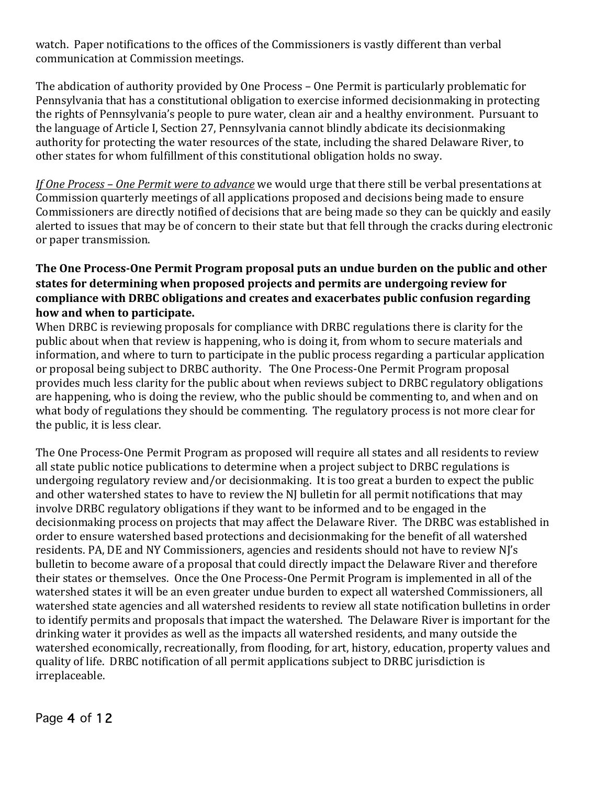watch. Paper notifications to the offices of the Commissioners is vastly different than verbal communication at Commission meetings.

The abdication of authority provided by One Process – One Permit is particularly problematic for Pennsylvania that has a constitutional obligation to exercise informed decisionmaking in protecting the rights of Pennsylvania's people to pure water, clean air and a healthy environment. Pursuant to the language of Article I, Section 27, Pennsylvania cannot blindly abdicate its decisionmaking authority for protecting the water resources of the state, including the shared Delaware River, to other states for whom fulfillment of this constitutional obligation holds no sway.

*If* One Process - One Permit were to advance we would urge that there still be verbal presentations at Commission quarterly meetings of all applications proposed and decisions being made to ensure Commissioners are directly notified of decisions that are being made so they can be quickly and easily alerted to issues that may be of concern to their state but that fell through the cracks during electronic or paper transmission.

# **The One Process-One Permit Program proposal puts an undue burden on the public and other** states for determining when proposed projects and permits are undergoing review for compliance with DRBC obligations and creates and exacerbates public confusion regarding how and when to participate.

When DRBC is reviewing proposals for compliance with DRBC regulations there is clarity for the public about when that review is happening, who is doing it, from whom to secure materials and information, and where to turn to participate in the public process regarding a particular application or proposal being subject to DRBC authority. The One Process-One Permit Program proposal provides much less clarity for the public about when reviews subject to DRBC regulatory obligations are happening, who is doing the review, who the public should be commenting to, and when and on what body of regulations they should be commenting. The regulatory process is not more clear for the public, it is less clear.

The One Process-One Permit Program as proposed will require all states and all residents to review all state public notice publications to determine when a project subject to DRBC regulations is undergoing regulatory review and/or decisionmaking. It is too great a burden to expect the public and other watershed states to have to review the NJ bulletin for all permit notifications that may involve DRBC regulatory obligations if they want to be informed and to be engaged in the decisionmaking process on projects that may affect the Delaware River. The DRBC was established in order to ensure watershed based protections and decisionmaking for the benefit of all watershed residents. PA, DE and NY Commissioners, agencies and residents should not have to review NJ's bulletin to become aware of a proposal that could directly impact the Delaware River and therefore their states or themselves. Once the One Process-One Permit Program is implemented in all of the watershed states it will be an even greater undue burden to expect all watershed Commissioners, all watershed state agencies and all watershed residents to review all state notification bulletins in order to identify permits and proposals that impact the watershed. The Delaware River is important for the drinking water it provides as well as the impacts all watershed residents, and many outside the watershed economically, recreationally, from flooding, for art, history, education, property values and quality of life. DRBC notification of all permit applications subject to DRBC jurisdiction is irreplaceable.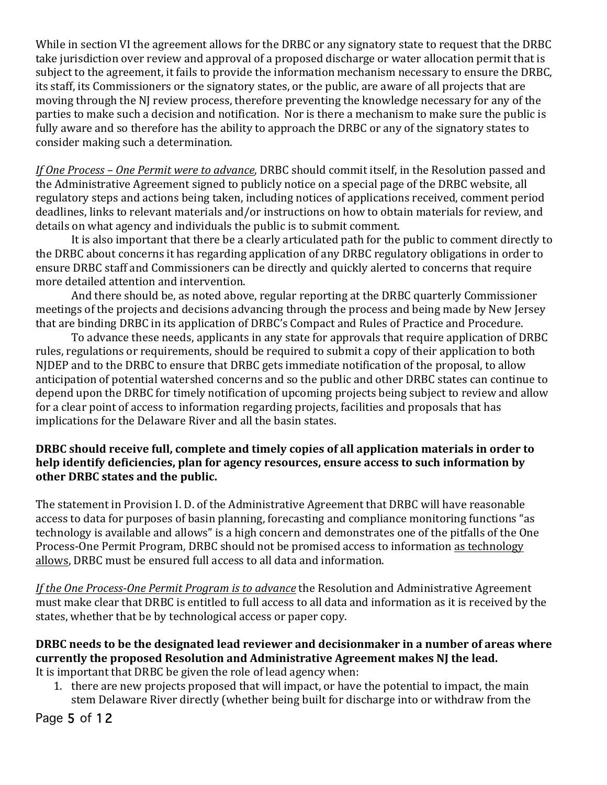While in section VI the agreement allows for the DRBC or any signatory state to request that the DRBC take jurisdiction over review and approval of a proposed discharge or water allocation permit that is subject to the agreement, it fails to provide the information mechanism necessary to ensure the DRBC, its staff, its Commissioners or the signatory states, or the public, are aware of all projects that are moving through the NJ review process, therefore preventing the knowledge necessary for any of the parties to make such a decision and notification. Nor is there a mechanism to make sure the public is fully aware and so therefore has the ability to approach the DRBC or any of the signatory states to consider making such a determination.

*If* One Process – One Permit were to advance, DRBC should commit itself, in the Resolution passed and the Administrative Agreement signed to publicly notice on a special page of the DRBC website, all regulatory steps and actions being taken, including notices of applications received, comment period deadlines, links to relevant materials and/or instructions on how to obtain materials for review, and details on what agency and individuals the public is to submit comment.

It is also important that there be a clearly articulated path for the public to comment directly to the DRBC about concerns it has regarding application of any DRBC regulatory obligations in order to ensure DRBC staff and Commissioners can be directly and quickly alerted to concerns that require more detailed attention and intervention.

And there should be, as noted above, regular reporting at the DRBC quarterly Commissioner meetings of the projects and decisions advancing through the process and being made by New Jersey that are binding DRBC in its application of DRBC's Compact and Rules of Practice and Procedure.

To advance these needs, applicants in any state for approvals that require application of DRBC rules, regulations or requirements, should be required to submit a copy of their application to both NJDEP and to the DRBC to ensure that DRBC gets immediate notification of the proposal, to allow anticipation of potential watershed concerns and so the public and other DRBC states can continue to depend upon the DRBC for timely notification of upcoming projects being subject to review and allow for a clear point of access to information regarding projects, facilities and proposals that has implications for the Delaware River and all the basin states.

### **DRBC** should receive full, complete and timely copies of all application materials in order to help identify deficiencies, plan for agency resources, ensure access to such information by other DRBC states and the public.

The statement in Provision I. D. of the Administrative Agreement that DRBC will have reasonable access to data for purposes of basin planning, forecasting and compliance monitoring functions "as technology is available and allows" is a high concern and demonstrates one of the pitfalls of the One Process-One Permit Program, DRBC should not be promised access to information as technology allows, DRBC must be ensured full access to all data and information.

*If the One Process-One Permit Program is to advance* the Resolution and Administrative Agreement must make clear that DRBC is entitled to full access to all data and information as it is received by the states, whether that be by technological access or paper copy.

# **DRBC** needs to be the designated lead reviewer and decisionmaker in a number of areas where currently the proposed Resolution and Administrative Agreement makes NJ the lead.

It is important that DRBC be given the role of lead agency when:

1. there are new projects proposed that will impact, or have the potential to impact, the main stem Delaware River directly (whether being built for discharge into or withdraw from the

Page 5 of 12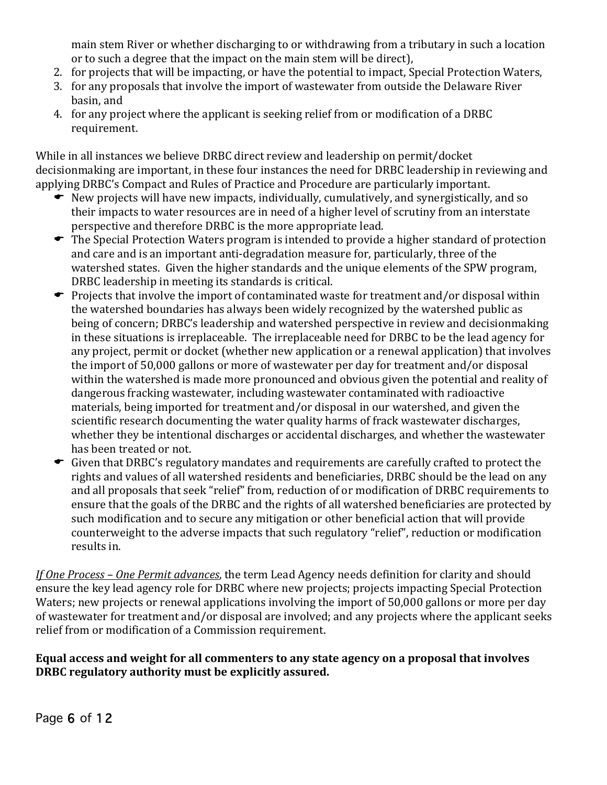main stem River or whether discharging to or withdrawing from a tributary in such a location or to such a degree that the impact on the main stem will be direct),

- 2. for projects that will be impacting, or have the potential to impact, Special Protection Waters,
- 3. for any proposals that involve the import of wastewater from outside the Delaware River basin, and
- 4. for any project where the applicant is seeking relief from or modification of a DRBC requirement.

While in all instances we believe DRBC direct review and leadership on permit/docket decisionmaking are important, in these four instances the need for DRBC leadership in reviewing and applying DRBC's Compact and Rules of Practice and Procedure are particularly important.

- New projects will have new impacts, individually, cumulatively, and synergistically, and so their impacts to water resources are in need of a higher level of scrutiny from an interstate perspective and therefore DRBC is the more appropriate lead.
- The Special Protection Waters program is intended to provide a higher standard of protection and care and is an important anti-degradation measure for, particularly, three of the watershed states. Given the higher standards and the unique elements of the SPW program, DRBC leadership in meeting its standards is critical.
- $\bullet$  Projects that involve the import of contaminated waste for treatment and/or disposal within the watershed boundaries has always been widely recognized by the watershed public as being of concern; DRBC's leadership and watershed perspective in review and decisionmaking in these situations is irreplaceable. The irreplaceable need for DRBC to be the lead agency for any project, permit or docket (whether new application or a renewal application) that involves the import of 50,000 gallons or more of wastewater per day for treatment and/or disposal within the watershed is made more pronounced and obvious given the potential and reality of dangerous fracking wastewater, including wastewater contaminated with radioactive materials, being imported for treatment and/or disposal in our watershed, and given the scientific research documenting the water quality harms of frack wastewater discharges, whether they be intentional discharges or accidental discharges, and whether the wastewater has been treated or not.
- $\bullet$  Given that DRBC's regulatory mandates and requirements are carefully crafted to protect the rights and values of all watershed residents and beneficiaries, DRBC should be the lead on any and all proposals that seek "relief" from, reduction of or modification of DRBC requirements to ensure that the goals of the DRBC and the rights of all watershed beneficiaries are protected by such modification and to secure any mitigation or other beneficial action that will provide counterweight to the adverse impacts that such regulatory "relief", reduction or modification results in.

*If* One Process – One Permit advances, the term Lead Agency needs definition for clarity and should ensure the key lead agency role for DRBC where new projects; projects impacting Special Protection Waters; new projects or renewal applications involving the import of 50,000 gallons or more per day of wastewater for treatment and/or disposal are involved; and any projects where the applicant seeks relief from or modification of a Commission requirement.

Equal access and weight for all commenters to any state agency on a proposal that involves **DRBC** regulatory authority must be explicitly assured.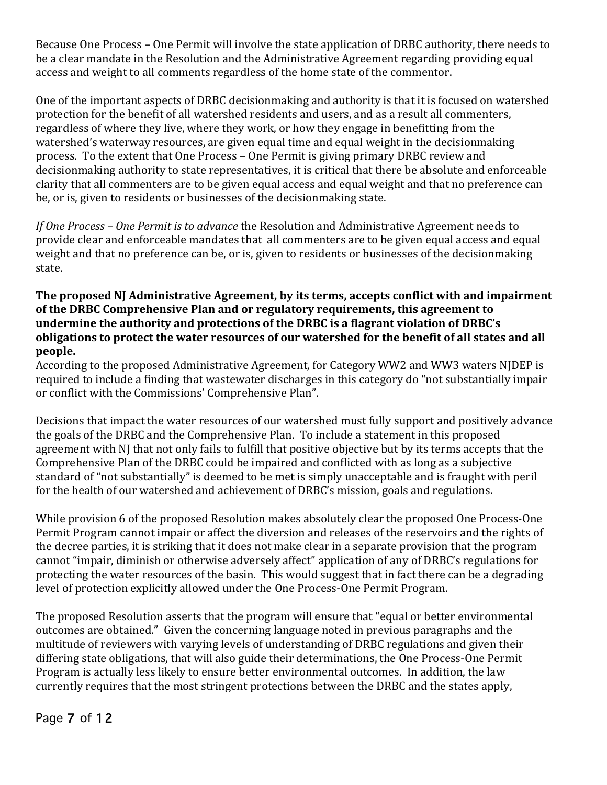Because One Process – One Permit will involve the state application of DRBC authority, there needs to be a clear mandate in the Resolution and the Administrative Agreement regarding providing equal access and weight to all comments regardless of the home state of the commentor.

One of the important aspects of DRBC decisionmaking and authority is that it is focused on watershed protection for the benefit of all watershed residents and users, and as a result all commenters, regardless of where they live, where they work, or how they engage in benefitting from the watershed's waterway resources, are given equal time and equal weight in the decisionmaking process. To the extent that One Process – One Permit is giving primary DRBC review and decisionmaking authority to state representatives, it is critical that there be absolute and enforceable clarity that all commenters are to be given equal access and equal weight and that no preference can be, or is, given to residents or businesses of the decisionmaking state.

*If* One Process – One Permit is to advance the Resolution and Administrative Agreement needs to provide clear and enforceable mandates that all commenters are to be given equal access and equal weight and that no preference can be, or is, given to residents or businesses of the decisionmaking state. 

### The proposed NI Administrative Agreement, by its terms, accepts conflict with and impairment of the DRBC Comprehensive Plan and or regulatory requirements, this agreement to undermine the authority and protections of the DRBC is a flagrant violation of DRBC's obligations to protect the water resources of our watershed for the benefit of all states and all **people.**

According to the proposed Administrative Agreement, for Category WW2 and WW3 waters NJDEP is required to include a finding that wastewater discharges in this category do "not substantially impair or conflict with the Commissions' Comprehensive Plan".

Decisions that impact the water resources of our watershed must fully support and positively advance the goals of the DRBC and the Comprehensive Plan. To include a statement in this proposed agreement with NI that not only fails to fulfill that positive objective but by its terms accepts that the Comprehensive Plan of the DRBC could be impaired and conflicted with as long as a subjective standard of "not substantially" is deemed to be met is simply unacceptable and is fraught with peril for the health of our watershed and achievement of DRBC's mission, goals and regulations.

While provision 6 of the proposed Resolution makes absolutely clear the proposed One Process-One Permit Program cannot impair or affect the diversion and releases of the reservoirs and the rights of the decree parties, it is striking that it does not make clear in a separate provision that the program cannot "impair, diminish or otherwise adversely affect" application of any of DRBC's regulations for protecting the water resources of the basin. This would suggest that in fact there can be a degrading level of protection explicitly allowed under the One Process-One Permit Program.

The proposed Resolution asserts that the program will ensure that "equal or better environmental outcomes are obtained." Given the concerning language noted in previous paragraphs and the multitude of reviewers with varying levels of understanding of DRBC regulations and given their differing state obligations, that will also guide their determinations, the One Process-One Permit Program is actually less likely to ensure better environmental outcomes. In addition, the law currently requires that the most stringent protections between the DRBC and the states apply,

# Page 7 of 12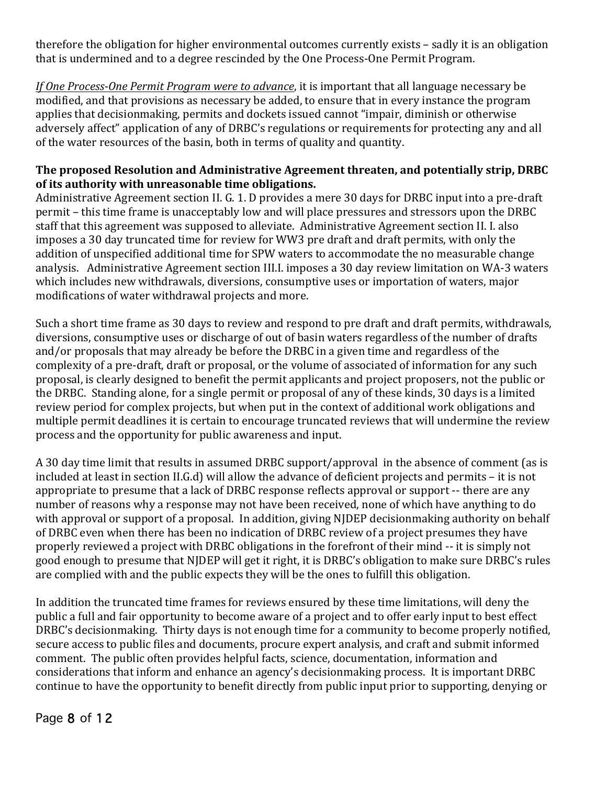therefore the obligation for higher environmental outcomes currently exists – sadly it is an obligation that is undermined and to a degree rescinded by the One Process-One Permit Program.

*If* One Process-One Permit Program were to advance, it is important that all language necessary be modified, and that provisions as necessary be added, to ensure that in every instance the program applies that decisionmaking, permits and dockets issued cannot "impair, diminish or otherwise adversely affect" application of any of DRBC's regulations or requirements for protecting any and all of the water resources of the basin, both in terms of quality and quantity.

### The proposed Resolution and Administrative Agreement threaten, and potentially strip, DRBC of its authority with unreasonable time obligations.

Administrative Agreement section II. G. 1. D provides a mere 30 days for DRBC input into a pre-draft permit – this time frame is unacceptably low and will place pressures and stressors upon the DRBC staff that this agreement was supposed to alleviate. Administrative Agreement section II. I. also imposes a 30 day truncated time for review for WW3 pre draft and draft permits, with only the addition of unspecified additional time for SPW waters to accommodate the no measurable change analysis. Administrative Agreement section III.I. imposes a 30 day review limitation on WA-3 waters which includes new withdrawals, diversions, consumptive uses or importation of waters, major modifications of water withdrawal projects and more.

Such a short time frame as 30 days to review and respond to pre draft and draft permits, withdrawals, diversions, consumptive uses or discharge of out of basin waters regardless of the number of drafts and/or proposals that may already be before the DRBC in a given time and regardless of the complexity of a pre-draft, draft or proposal, or the volume of associated of information for any such proposal, is clearly designed to benefit the permit applicants and project proposers, not the public or the DRBC. Standing alone, for a single permit or proposal of any of these kinds, 30 days is a limited review period for complex projects, but when put in the context of additional work obligations and multiple permit deadlines it is certain to encourage truncated reviews that will undermine the review process and the opportunity for public awareness and input.

A 30 day time limit that results in assumed DRBC support/approval in the absence of comment (as is included at least in section II.G.d) will allow the advance of deficient projects and permits – it is not appropriate to presume that a lack of DRBC response reflects approval or support -- there are any number of reasons why a response may not have been received, none of which have anything to do with approval or support of a proposal. In addition, giving NJDEP decisionmaking authority on behalf of DRBC even when there has been no indication of DRBC review of a project presumes they have properly reviewed a project with DRBC obligations in the forefront of their mind -- it is simply not good enough to presume that NJDEP will get it right, it is DRBC's obligation to make sure DRBC's rules are complied with and the public expects they will be the ones to fulfill this obligation.

In addition the truncated time frames for reviews ensured by these time limitations, will deny the public a full and fair opportunity to become aware of a project and to offer early input to best effect DRBC's decisionmaking. Thirty days is not enough time for a community to become properly notified, secure access to public files and documents, procure expert analysis, and craft and submit informed comment. The public often provides helpful facts, science, documentation, information and considerations that inform and enhance an agency's decisionmaking process. It is important DRBC continue to have the opportunity to benefit directly from public input prior to supporting, denying or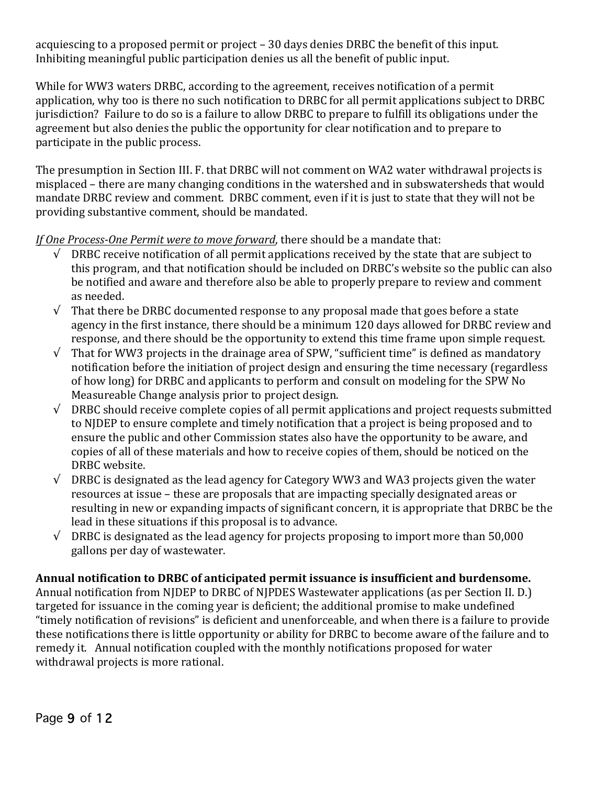acquiescing to a proposed permit or project – 30 days denies DRBC the benefit of this input. Inhibiting meaningful public participation denies us all the benefit of public input.

While for WW3 waters DRBC, according to the agreement, receives notification of a permit application, why too is there no such notification to DRBC for all permit applications subject to DRBC jurisdiction? Failure to do so is a failure to allow DRBC to prepare to fulfill its obligations under the agreement but also denies the public the opportunity for clear notification and to prepare to participate in the public process.

The presumption in Section III. F. that DRBC will not comment on WA2 water withdrawal projects is misplaced – there are many changing conditions in the watershed and in subswatersheds that would mandate DRBC review and comment. DRBC comment, even if it is just to state that they will not be providing substantive comment, should be mandated.

*If* One Process-One Permit were to move forward, there should be a mandate that:

- $\sqrt{ }$  DRBC receive notification of all permit applications received by the state that are subject to this program, and that notification should be included on DRBC's website so the public can also be notified and aware and therefore also be able to properly prepare to review and comment as needed.
- $\sqrt{\frac{1}{\pi}}$  That there be DRBC documented response to any proposal made that goes before a state agency in the first instance, there should be a minimum 120 days allowed for DRBC review and response, and there should be the opportunity to extend this time frame upon simple request.
- $\sqrt{\phantom{a}}$  That for WW3 projects in the drainage area of SPW, "sufficient time" is defined as mandatory notification before the initiation of project design and ensuring the time necessary (regardless of how long) for DRBC and applicants to perform and consult on modeling for the SPW No Measureable Change analysis prior to project design.
- $\sqrt{ }$  DRBC should receive complete copies of all permit applications and project requests submitted to NJDEP to ensure complete and timely notification that a project is being proposed and to ensure the public and other Commission states also have the opportunity to be aware, and copies of all of these materials and how to receive copies of them, should be noticed on the DRBC website.
- $\sqrt{\phantom{a}}$  DRBC is designated as the lead agency for Category WW3 and WA3 projects given the water resources at issue – these are proposals that are impacting specially designated areas or resulting in new or expanding impacts of significant concern, it is appropriate that DRBC be the lead in these situations if this proposal is to advance.
- $\sqrt{ }$  DRBC is designated as the lead agency for projects proposing to import more than 50,000 gallons per day of wastewater.

# Annual notification to DRBC of anticipated permit issuance is insufficient and burdensome.

Annual notification from NJDEP to DRBC of NJPDES Wastewater applications (as per Section II. D.) targeted for issuance in the coming vear is deficient; the additional promise to make undefined "timely notification of revisions" is deficient and unenforceable, and when there is a failure to provide these notifications there is little opportunity or ability for DRBC to become aware of the failure and to remedy it. Annual notification coupled with the monthly notifications proposed for water withdrawal projects is more rational.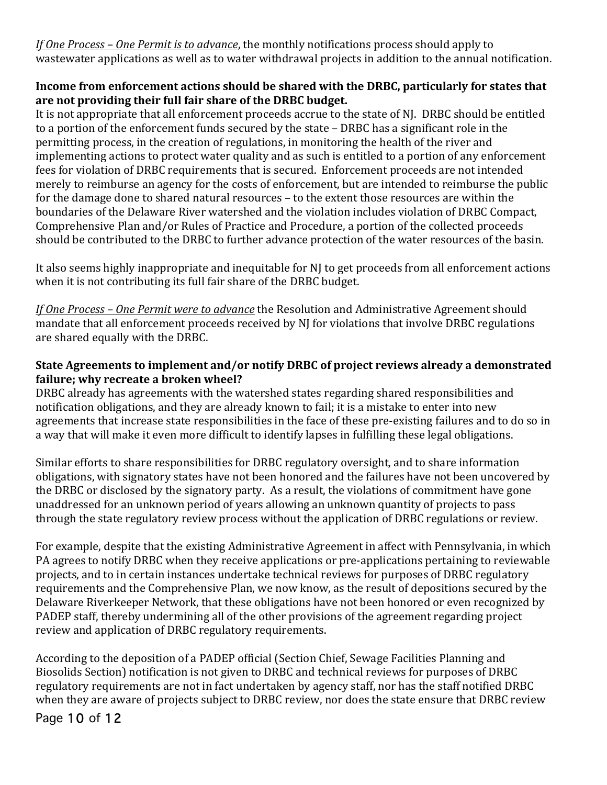*If One Process* – *One Permit is to advance*, the monthly notifications process should apply to wastewater applications as well as to water withdrawal projects in addition to the annual notification.

## **Income from enforcement actions should be shared with the DRBC, particularly for states that** are not providing their full fair share of the DRBC budget.

It is not appropriate that all enforcement proceeds accrue to the state of NJ. DRBC should be entitled to a portion of the enforcement funds secured by the state – DRBC has a significant role in the permitting process, in the creation of regulations, in monitoring the health of the river and implementing actions to protect water quality and as such is entitled to a portion of any enforcement fees for violation of DRBC requirements that is secured. Enforcement proceeds are not intended merely to reimburse an agency for the costs of enforcement, but are intended to reimburse the public for the damage done to shared natural resources – to the extent those resources are within the boundaries of the Delaware River watershed and the violation includes violation of DRBC Compact, Comprehensive Plan and/or Rules of Practice and Procedure, a portion of the collected proceeds should be contributed to the DRBC to further advance protection of the water resources of the basin.

It also seems highly inappropriate and inequitable for NJ to get proceeds from all enforcement actions when it is not contributing its full fair share of the DRBC budget.

*If* One Process – One Permit were to advance the Resolution and Administrative Agreement should mandate that all enforcement proceeds received by NJ for violations that involve DRBC regulations are shared equally with the DRBC.

# State Agreements to implement and/or notify DRBC of project reviews already a demonstrated failure; why recreate a broken wheel?

DRBC already has agreements with the watershed states regarding shared responsibilities and notification obligations, and they are already known to fail; it is a mistake to enter into new agreements that increase state responsibilities in the face of these pre-existing failures and to do so in a way that will make it even more difficult to identify lapses in fulfilling these legal obligations.

Similar efforts to share responsibilities for DRBC regulatory oversight, and to share information obligations, with signatory states have not been honored and the failures have not been uncovered by the DRBC or disclosed by the signatory party. As a result, the violations of commitment have gone unaddressed for an unknown period of years allowing an unknown quantity of projects to pass through the state regulatory review process without the application of DRBC regulations or review.

For example, despite that the existing Administrative Agreement in affect with Pennsylvania, in which PA agrees to notify DRBC when they receive applications or pre-applications pertaining to reviewable projects, and to in certain instances undertake technical reviews for purposes of DRBC regulatory requirements and the Comprehensive Plan, we now know, as the result of depositions secured by the Delaware Riverkeeper Network, that these obligations have not been honored or even recognized by PADEP staff, thereby undermining all of the other provisions of the agreement regarding project review and application of DRBC regulatory requirements.

According to the deposition of a PADEP official (Section Chief, Sewage Facilities Planning and Biosolids Section) notification is not given to DRBC and technical reviews for purposes of DRBC regulatory requirements are not in fact undertaken by agency staff, nor has the staff notified DRBC when they are aware of projects subject to DRBC review, nor does the state ensure that DRBC review

Page 10 of 12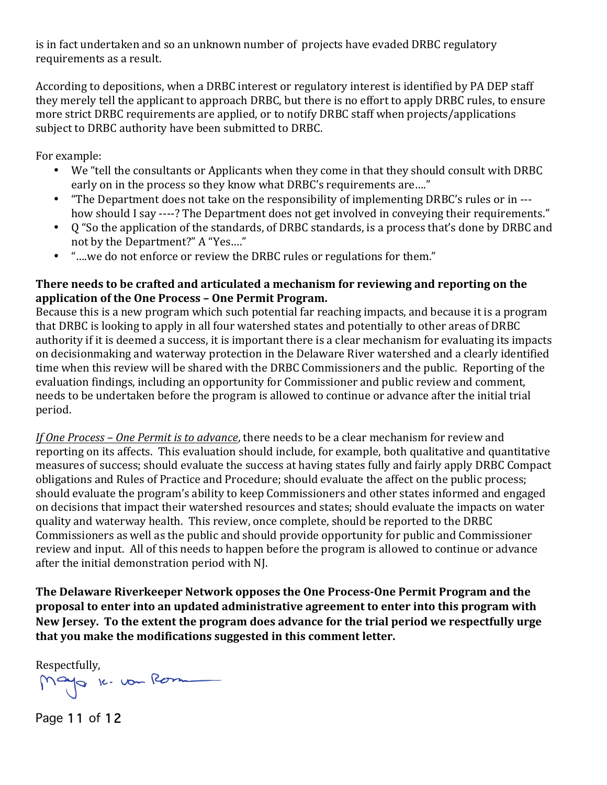is in fact undertaken and so an unknown number of projects have evaded DRBC regulatory requirements as a result.

According to depositions, when a DRBC interest or regulatory interest is identified by PA DEP staff they merely tell the applicant to approach DRBC, but there is no effort to apply DRBC rules, to ensure more strict DRBC requirements are applied, or to notify DRBC staff when projects/applications subject to DRBC authority have been submitted to DRBC.

For example:

- We "tell the consultants or Applicants when they come in that they should consult with DRBC early on in the process so they know what DRBC's requirements are...."
- "The Department does not take on the responsibility of implementing DRBC's rules or in --how should I say ----? The Department does not get involved in conveying their requirements."
- Q "So the application of the standards, of DRBC standards, is a process that's done by DRBC and not by the Department?" A "Yes...."
- "...we do not enforce or review the DRBC rules or regulations for them."

### There needs to be crafted and articulated a mechanism for reviewing and reporting on the **application of the One Process - One Permit Program.**

Because this is a new program which such potential far reaching impacts, and because it is a program that DRBC is looking to apply in all four watershed states and potentially to other areas of DRBC authority if it is deemed a success, it is important there is a clear mechanism for evaluating its impacts on decisionmaking and waterway protection in the Delaware River watershed and a clearly identified time when this review will be shared with the DRBC Commissioners and the public. Reporting of the evaluation findings, including an opportunity for Commissioner and public review and comment, needs to be undertaken before the program is allowed to continue or advance after the initial trial period.

*If* One Process – One Permit is to advance, there needs to be a clear mechanism for review and reporting on its affects. This evaluation should include, for example, both qualitative and quantitative measures of success; should evaluate the success at having states fully and fairly apply DRBC Compact obligations and Rules of Practice and Procedure; should evaluate the affect on the public process; should evaluate the program's ability to keep Commissioners and other states informed and engaged on decisions that impact their watershed resources and states; should evaluate the impacts on water quality and waterway health. This review, once complete, should be reported to the DRBC Commissioners as well as the public and should provide opportunity for public and Commissioner review and input. All of this needs to happen before the program is allowed to continue or advance after the initial demonstration period with NJ.

The Delaware Riverkeeper Network opposes the One Process-One Permit Program and the **proposal to enter into an updated administrative agreement to enter into this program with** New Jersey. To the extent the program does advance for the trial period we respectfully urge that you make the modifications suggested in this comment letter.

Respectfully,<br>Mayo 10. von Rom

Page 11 of 12